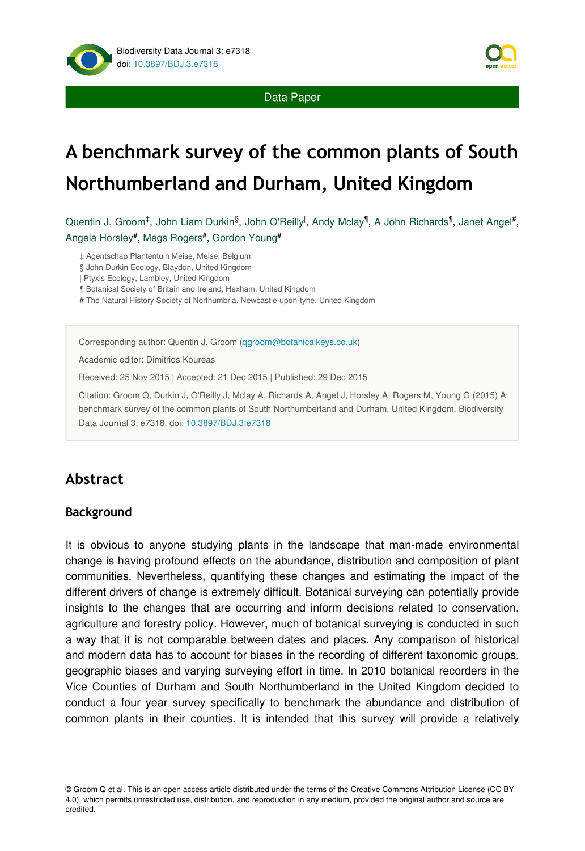

Data Paper

# **A benchmark survey of the common plants of South Northumberland and Durham, United Kingdom**

Quentin J. Groom‡, John Liam Durkin<sup>§</sup>, John O'Reilly<sup>l</sup>, Andy Mclay<sup>¶</sup>, A John Richards¶, Janet Angel#, Angela Horsley#, Megs Rogers#, Gordon Young#

‡ Agentschap Plantentuin Meise, Meise, Belgium

§ John Durkin Ecology, Blaydon, United Kingdom

| Ptyxis Ecology, Lambley, United Kingdom

¶ Botanical Society of Britain and Ireland, Hexham, United Kingdom

# The Natural History Society of Northumbria, Newcastle-upon-tyne, United Kingdom

Corresponding author: Quentin J. Groom [\(qgroom@botanicalkeys.co.uk\)](mailto:qgroom@botanicalkeys.co.uk?subject=Your%20manuscript%20in%20PWT%20#4145/Biodiversity%20Data%20Journal%20#7318)

Academic editor: Dimitrios Koureas

Received: 25 Nov 2015 | Accepted: 21 Dec 2015 | Published: 29 Dec 2015

Citation: Groom Q, Durkin J, O'Reilly J, Mclay A, Richards A, Angel J, Horsley A, Rogers M, Young G (2015) A benchmark survey of the common plants of South Northumberland and Durham, United Kingdom. Biodiversity Data Journal 3: e7318. doi: [10.3897/BDJ.3.e7318](http://dx.doi.org/10.3897/BDJ.3.e7318)

# **Abstract**

#### **Background**

It is obvious to anyone studying plants in the landscape that man-made environmental change is having profound effects on the abundance, distribution and composition of plant communities. Nevertheless, quantifying these changes and estimating the impact of the different drivers of change is extremely difficult. Botanical surveying can potentially provide insights to the changes that are occurring and inform decisions related to conservation, agriculture and forestry policy. However, much of botanical surveying is conducted in such a way that it is not comparable between dates and places. Any comparison of historical and modern data has to account for biases in the recording of different taxonomic groups, geographic biases and varying surveying effort in time. In 2010 botanical recorders in the Vice Counties of Durham and South Northumberland in the United Kingdom decided to conduct a four year survey specifically to benchmark the abundance and distribution of common plants in their counties. It is intended that this survey will provide a relatively

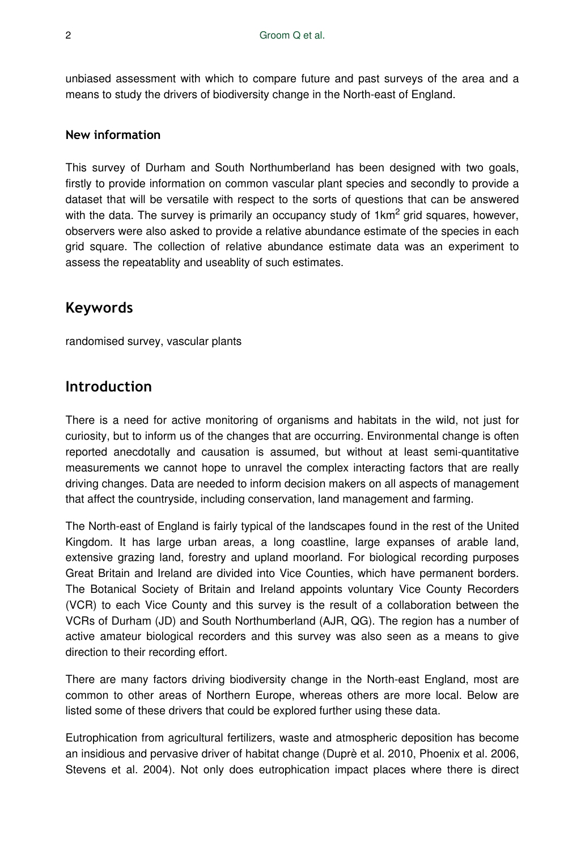unbiased assessment with which to compare future and past surveys of the area and a means to study the drivers of biodiversity change in the North-east of England.

#### **New information**

This survey of Durham and South Northumberland has been designed with two goals, firstly to provide information on common vascular plant species and secondly to provide a dataset that will be versatile with respect to the sorts of questions that can be answered with the data. The survey is primarily an occupancy study of 1 $km^2$  grid squares, however, observers were also asked to provide a relative abundance estimate of the species in each grid square. The collection of relative abundance estimate data was an experiment to assess the repeatablity and useablity of such estimates.

### **Keywords**

randomised survey, vascular plants

### **Introduction**

There is a need for active monitoring of organisms and habitats in the wild, not just for curiosity, but to inform us of the changes that are occurring. Environmental change is often reported anecdotally and causation is assumed, but without at least semi-quantitative measurements we cannot hope to unravel the complex interacting factors that are really driving changes. Data are needed to inform decision makers on all aspects of management that affect the countryside, including conservation, land management and farming.

The North-east of England is fairly typical of the landscapes found in the rest of the United Kingdom. It has large urban areas, a long coastline, large expanses of arable land, extensive grazing land, forestry and upland moorland. For biological recording purposes Great Britain and Ireland are divided into Vice Counties, which have permanent borders. The Botanical Society of Britain and Ireland appoints voluntary Vice County Recorders (VCR) to each Vice County and this survey is the result of a collaboration between the VCRs of Durham (JD) and South Northumberland (AJR, QG). The region has a number of active amateur biological recorders and this survey was also seen as a means to give direction to their recording effort.

There are many factors driving biodiversity change in the North-east England, most are common to other areas of Northern Europe, whereas others are more local. Below are listed some of these drivers that could be explored further using these data.

Eutrophication from agricultural fertilizers, waste and atmospheric deposition has become an insidious and pervasive driver of habitat change (Duprè et al. 2010, Phoenix et al. 2006, Stevens et al. 2004). Not only does eutrophication impact places where there is direct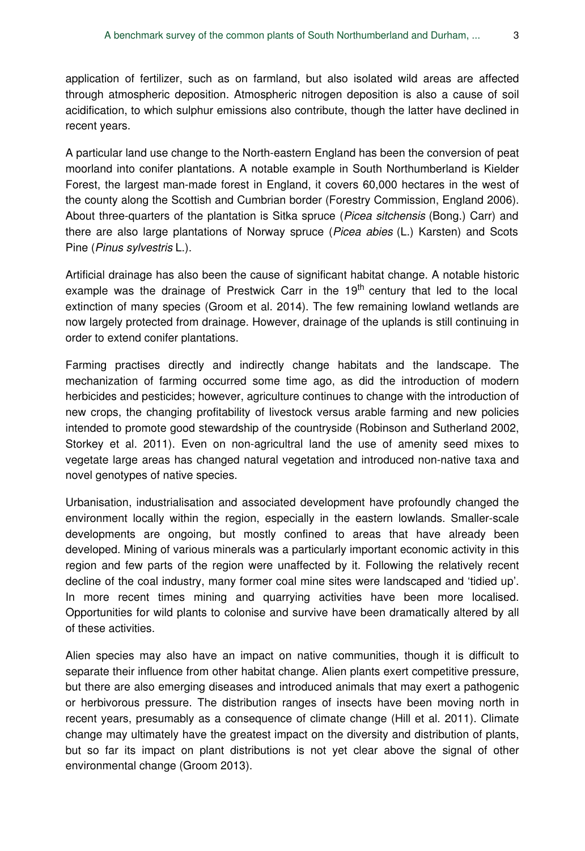application of fertilizer, such as on farmland, but also isolated wild areas are affected through atmospheric deposition. Atmospheric nitrogen deposition is also a cause of soil acidification, to which sulphur emissions also contribute, though the latter have declined in recent years.

A particular land use change to the North-eastern England has been the conversion of peat moorland into conifer plantations. A notable example in South Northumberland is Kielder Forest, the largest man-made forest in England, it covers 60,000 hectares in the west of the county along the Scottish and Cumbrian border (Forestry Commission, England 2006). About three-quarters of the plantation is Sitka spruce (*Picea sitchensis* (Bong.) Carr) and there are also large plantations of Norway spruce (*Picea abies* (L.) Karsten) and Scots Pine (*Pinus sylvestris* L.).

Artificial drainage has also been the cause of significant habitat change. A notable historic example was the drainage of Prestwick Carr in the 19<sup>th</sup> century that led to the local extinction of many species (Groom et al. 2014). The few remaining lowland wetlands are now largely protected from drainage. However, drainage of the uplands is still continuing in order to extend conifer plantations.

Farming practises directly and indirectly change habitats and the landscape. The mechanization of farming occurred some time ago, as did the introduction of modern herbicides and pesticides; however, agriculture continues to change with the introduction of new crops, the changing profitability of livestock versus arable farming and new policies intended to promote good stewardship of the countryside (Robinson and Sutherland 2002, Storkey et al. 2011). Even on non-agricultral land the use of amenity seed mixes to vegetate large areas has changed natural vegetation and introduced non-native taxa and novel genotypes of native species.

Urbanisation, industrialisation and associated development have profoundly changed the environment locally within the region, especially in the eastern lowlands. Smaller-scale developments are ongoing, but mostly confined to areas that have already been developed. Mining of various minerals was a particularly important economic activity in this region and few parts of the region were unaffected by it. Following the relatively recent decline of the coal industry, many former coal mine sites were landscaped and 'tidied up'. In more recent times mining and quarrying activities have been more localised. Opportunities for wild plants to colonise and survive have been dramatically altered by all of these activities.

Alien species may also have an impact on native communities, though it is difficult to separate their influence from other habitat change. Alien plants exert competitive pressure, but there are also emerging diseases and introduced animals that may exert a pathogenic or herbivorous pressure. The distribution ranges of insects have been moving north in recent years, presumably as a consequence of climate change (Hill et al. 2011). Climate change may ultimately have the greatest impact on the diversity and distribution of plants, but so far its impact on plant distributions is not yet clear above the signal of other environmental change (Groom 2013).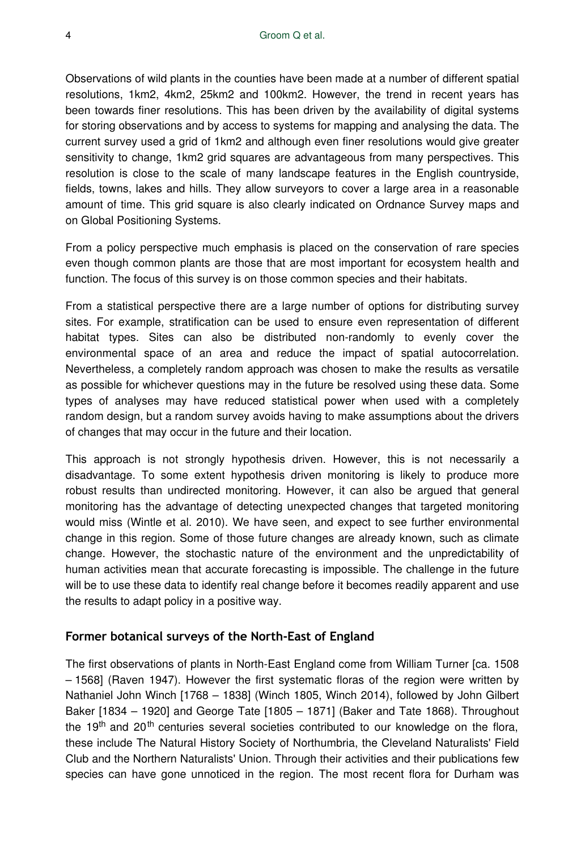Observations of wild plants in the counties have been made at a number of different spatial resolutions, 1km2, 4km2, 25km2 and 100km2. However, the trend in recent years has been towards finer resolutions. This has been driven by the availability of digital systems for storing observations and by access to systems for mapping and analysing the data. The current survey used a grid of 1km2 and although even finer resolutions would give greater sensitivity to change, 1km2 grid squares are advantageous from many perspectives. This resolution is close to the scale of many landscape features in the English countryside, fields, towns, lakes and hills. They allow surveyors to cover a large area in a reasonable amount of time. This grid square is also clearly indicated on Ordnance Survey maps and on Global Positioning Systems.

From a policy perspective much emphasis is placed on the conservation of rare species even though common plants are those that are most important for ecosystem health and function. The focus of this survey is on those common species and their habitats.

From a statistical perspective there are a large number of options for distributing survey sites. For example, stratification can be used to ensure even representation of different habitat types. Sites can also be distributed non-randomly to evenly cover the environmental space of an area and reduce the impact of spatial autocorrelation. Nevertheless, a completely random approach was chosen to make the results as versatile as possible for whichever questions may in the future be resolved using these data. Some types of analyses may have reduced statistical power when used with a completely random design, but a random survey avoids having to make assumptions about the drivers of changes that may occur in the future and their location.

This approach is not strongly hypothesis driven. However, this is not necessarily a disadvantage. To some extent hypothesis driven monitoring is likely to produce more robust results than undirected monitoring. However, it can also be argued that general monitoring has the advantage of detecting unexpected changes that targeted monitoring would miss (Wintle et al. 2010). We have seen, and expect to see further environmental change in this region. Some of those future changes are already known, such as climate change. However, the stochastic nature of the environment and the unpredictability of human activities mean that accurate forecasting is impossible. The challenge in the future will be to use these data to identify real change before it becomes readily apparent and use the results to adapt policy in a positive way.

### **Former botanical surveys of the North-East of England**

The first observations of plants in North-East England come from William Turner [ca. 1508 – 1568] (Raven 1947). However the first systematic floras of the region were written by Nathaniel John Winch [1768 – 1838] (Winch 1805, Winch 2014), followed by John Gilbert Baker [1834 – 1920] and George Tate [1805 – 1871] (Baker and Tate 1868). Throughout the 19<sup>th</sup> and 20<sup>th</sup> centuries several societies contributed to our knowledge on the flora, these include The Natural History Society of Northumbria, the Cleveland Naturalists' Field Club and the Northern Naturalists' Union. Through their activities and their publications few species can have gone unnoticed in the region. The most recent flora for Durham was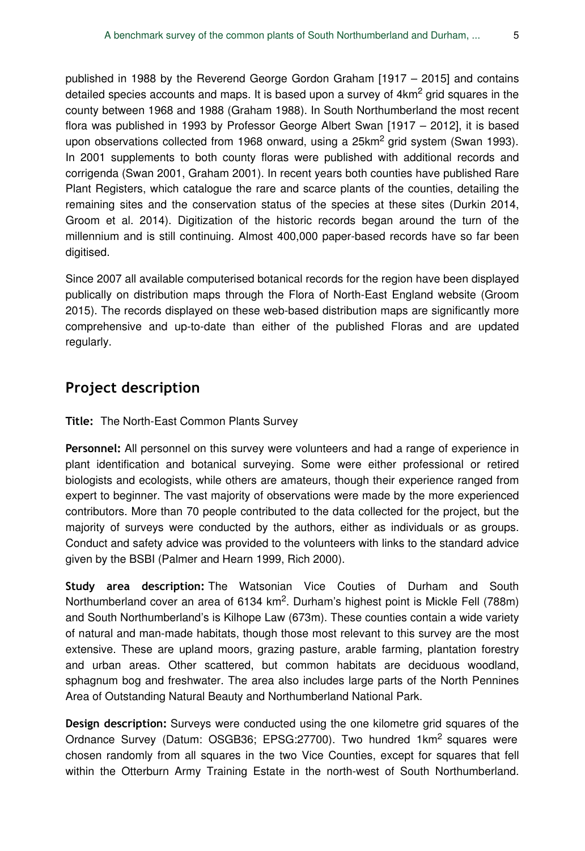published in 1988 by the Reverend George Gordon Graham [1917 – 2015] and contains detailed species accounts and maps. It is based upon a survey of  $4{\sf km}^2$  grid squares in the county between 1968 and 1988 (Graham 1988). In South Northumberland the most recent flora was published in 1993 by Professor George Albert Swan [1917 – 2012], it is based upon observations collected from 1968 onward, using a 25km<sup>2</sup> grid system (Swan 1993). In 2001 supplements to both county floras were published with additional records and corrigenda (Swan 2001, Graham 2001). In recent years both counties have published Rare Plant Registers, which catalogue the rare and scarce plants of the counties, detailing the remaining sites and the conservation status of the species at these sites (Durkin 2014, Groom et al. 2014). Digitization of the historic records began around the turn of the millennium and is still continuing. Almost 400,000 paper-based records have so far been digitised.

Since 2007 all available computerised botanical records for the region have been displayed publically on distribution maps through the Flora of North-East England website (Groom 2015). The records displayed on these web-based distribution maps are significantly more comprehensive and up-to-date than either of the published Floras and are updated regularly.

# **Project description**

**Title:** The North-East Common Plants Survey

**Personnel:** All personnel on this survey were volunteers and had a range of experience in plant identification and botanical surveying. Some were either professional or retired biologists and ecologists, while others are amateurs, though their experience ranged from expert to beginner. The vast majority of observations were made by the more experienced contributors. More than 70 people contributed to the data collected for the project, but the majority of surveys were conducted by the authors, either as individuals or as groups. Conduct and safety advice was provided to the volunteers with links to the standard advice given by the BSBI (Palmer and Hearn 1999, Rich 2000).

**Study area description:** The Watsonian Vice Couties of Durham and South Northumberland cover an area of 6134 km<sup>2</sup>. Durham's highest point is Mickle Fell (788m) and South Northumberland's is Kilhope Law (673m). These counties contain a wide variety of natural and man-made habitats, though those most relevant to this survey are the most extensive. These are upland moors, grazing pasture, arable farming, plantation forestry and urban areas. Other scattered, but common habitats are deciduous woodland, sphagnum bog and freshwater. The area also includes large parts of the North Pennines Area of Outstanding Natural Beauty and Northumberland National Park.

**Design description:** Surveys were conducted using the one kilometre grid squares of the Ordnance Survey (Datum: OSGB36; EPSG:27700). Two hundred 1km<sup>2</sup> squares were chosen randomly from all squares in the two Vice Counties, except for squares that fell within the Otterburn Army Training Estate in the north-west of South Northumberland.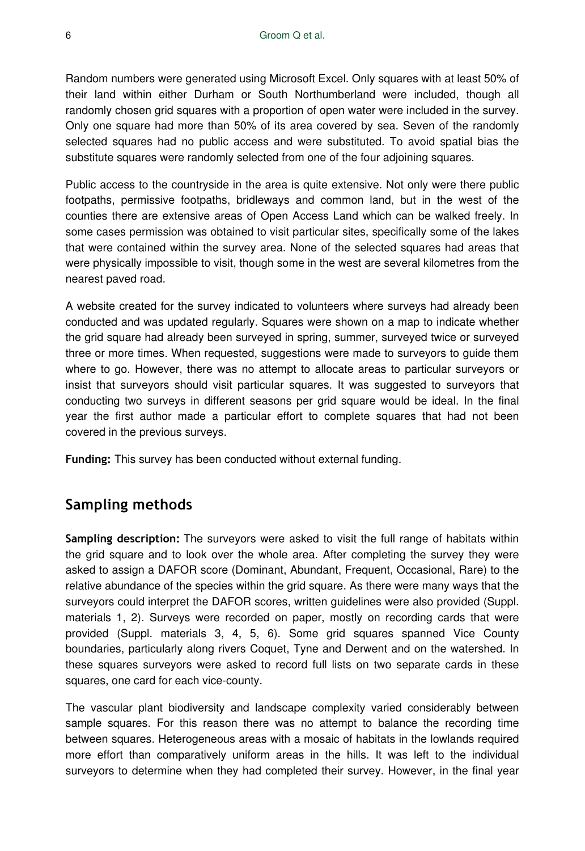Random numbers were generated using Microsoft Excel. Only squares with at least 50% of their land within either Durham or South Northumberland were included, though all randomly chosen grid squares with a proportion of open water were included in the survey. Only one square had more than 50% of its area covered by sea. Seven of the randomly selected squares had no public access and were substituted. To avoid spatial bias the substitute squares were randomly selected from one of the four adjoining squares.

Public access to the countryside in the area is quite extensive. Not only were there public footpaths, permissive footpaths, bridleways and common land, but in the west of the counties there are extensive areas of Open Access Land which can be walked freely. In some cases permission was obtained to visit particular sites, specifically some of the lakes that were contained within the survey area. None of the selected squares had areas that were physically impossible to visit, though some in the west are several kilometres from the nearest paved road.

A website created for the survey indicated to volunteers where surveys had already been conducted and was updated regularly. Squares were shown on a map to indicate whether the grid square had already been surveyed in spring, summer, surveyed twice or surveyed three or more times. When requested, suggestions were made to surveyors to guide them where to go. However, there was no attempt to allocate areas to particular surveyors or insist that surveyors should visit particular squares. It was suggested to surveyors that conducting two surveys in different seasons per grid square would be ideal. In the final year the first author made a particular effort to complete squares that had not been covered in the previous surveys.

**Funding:** This survey has been conducted without external funding.

# **Sampling methods**

**Sampling description:** The surveyors were asked to visit the full range of habitats within the grid square and to look over the whole area. After completing the survey they were asked to assign a DAFOR score (Dominant, Abundant, Frequent, Occasional, Rare) to the relative abundance of the species within the grid square. As there were many ways that the surveyors could interpret the DAFOR scores, written guidelines were also provided (Suppl. materials 1, 2). Surveys were recorded on paper, mostly on recording cards that were provided (Suppl. materials 3, 4, 5, 6). Some grid squares spanned Vice County boundaries, particularly along rivers Coquet, Tyne and Derwent and on the watershed. In these squares surveyors were asked to record full lists on two separate cards in these squares, one card for each vice-county.

The vascular plant biodiversity and landscape complexity varied considerably between sample squares. For this reason there was no attempt to balance the recording time between squares. Heterogeneous areas with a mosaic of habitats in the lowlands required more effort than comparatively uniform areas in the hills. It was left to the individual surveyors to determine when they had completed their survey. However, in the final year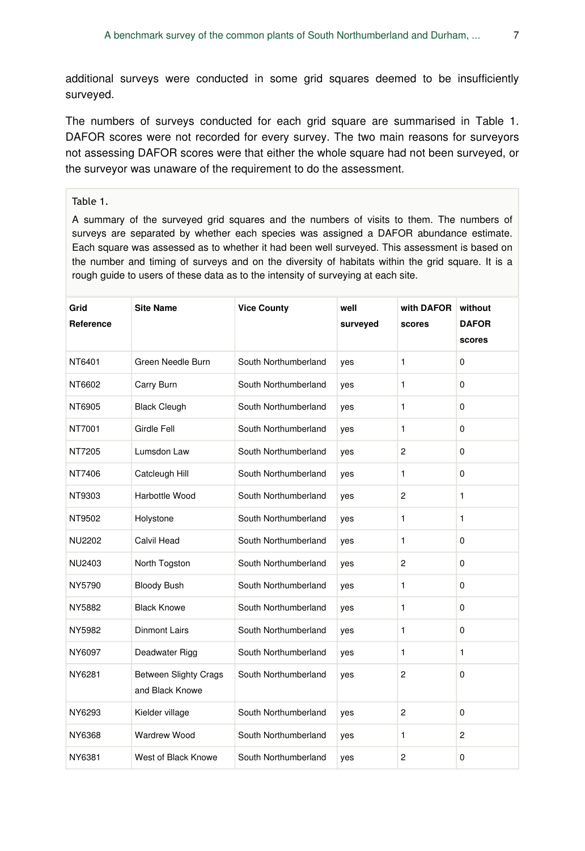additional surveys were conducted in some grid squares deemed to be insufficiently surveyed.

The numbers of surveys conducted for each grid square are summarised in Table 1. DAFOR scores were not recorded for every survey. The two main reasons for surveyors not assessing DAFOR scores were that either the whole square had not been surveyed, or the surveyor was unaware of the requirement to do the assessment.

#### Table 1.

A summary of the surveyed grid squares and the numbers of visits to them. The numbers of surveys are separated by whether each species was assigned a DAFOR abundance estimate. Each square was assessed as to whether it had been well surveyed. This assessment is based on the number and timing of surveys and on the diversity of habitats within the grid square. It is a rough guide to users of these data as to the intensity of surveying at each site.

| Grid<br>Reference | <b>Site Name</b>                                | <b>Vice County</b>   | well<br>surveyed | with DAFOR<br>scores | without<br><b>DAFOR</b><br>scores |
|-------------------|-------------------------------------------------|----------------------|------------------|----------------------|-----------------------------------|
| NT6401            | Green Needle Burn                               | South Northumberland | yes              | 1                    | 0                                 |
| NT6602            | Carry Burn                                      | South Northumberland | yes              | 1                    | $\Omega$                          |
| NT6905            | <b>Black Cleugh</b>                             | South Northumberland | yes              | 1                    | $\Omega$                          |
| NT7001            | Girdle Fell                                     | South Northumberland | yes              | 1                    | 0                                 |
| NT7205            | Lumsdon Law                                     | South Northumberland | yes              | $\overline{2}$       | $\mathbf 0$                       |
| NT7406            | Catcleugh Hill                                  | South Northumberland | yes              | 1                    | 0                                 |
| NT9303            | Harbottle Wood                                  | South Northumberland | yes              | $\overline{c}$       | $\mathbf{1}$                      |
| NT9502            | Holystone                                       | South Northumberland | yes              | 1                    | 1                                 |
| <b>NU2202</b>     | Calvil Head                                     | South Northumberland | yes              | 1                    | 0                                 |
| NU2403            | North Togston                                   | South Northumberland | yes              | $\overline{c}$       | $\mathbf 0$                       |
| NY5790            | <b>Bloody Bush</b>                              | South Northumberland | yes              | 1                    | $\mathbf 0$                       |
| NY5882            | <b>Black Knowe</b>                              | South Northumberland | yes              | 1                    | $\Omega$                          |
| NY5982            | <b>Dinmont Lairs</b>                            | South Northumberland | yes              | 1                    | 0                                 |
| NY6097            | Deadwater Rigg                                  | South Northumberland | yes              | 1                    | $\mathbf{1}$                      |
| NY6281            | <b>Between Slighty Crags</b><br>and Black Knowe | South Northumberland | yes              | $\overline{2}$       | 0                                 |
| NY6293            | Kielder village                                 | South Northumberland | yes              | $\overline{c}$       | 0                                 |
| NY6368            | <b>Wardrew Wood</b>                             | South Northumberland | yes              | 1                    | $\overline{2}$                    |
| NY6381            | West of Black Knowe                             | South Northumberland | yes              | $\overline{c}$       | 0                                 |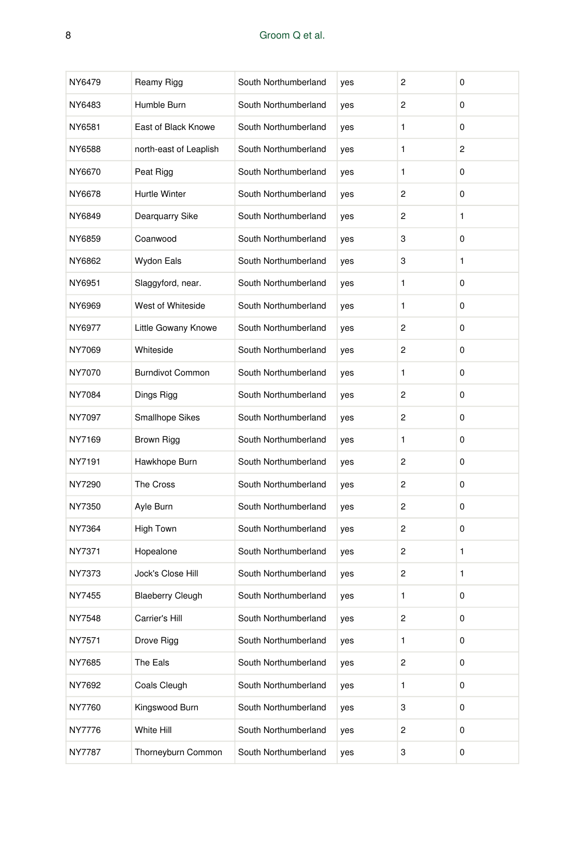### 8 Groom Q et al.

| NY6479 | Reamy Rigg              | South Northumberland | yes | $\overline{c}$ | 0 |
|--------|-------------------------|----------------------|-----|----------------|---|
| NY6483 | Humble Burn             | South Northumberland | yes | $\overline{c}$ | 0 |
| NY6581 | East of Black Knowe     | South Northumberland | yes | $\mathbf{1}$   | 0 |
| NY6588 | north-east of Leaplish  | South Northumberland | yes | 1              | 2 |
| NY6670 | Peat Rigg               | South Northumberland | yes | 1              | 0 |
| NY6678 | Hurtle Winter           | South Northumberland | yes | 2              | 0 |
| NY6849 | Dearquarry Sike         | South Northumberland | yes | 2              | 1 |
| NY6859 | Coanwood                | South Northumberland | yes | 3              | 0 |
| NY6862 | Wydon Eals              | South Northumberland | yes | 3              | 1 |
| NY6951 | Slaggyford, near.       | South Northumberland | yes | 1              | 0 |
| NY6969 | West of Whiteside       | South Northumberland | yes | 1              | 0 |
| NY6977 | Little Gowany Knowe     | South Northumberland | yes | $\overline{c}$ | 0 |
| NY7069 | Whiteside               | South Northumberland | yes | $\overline{c}$ | 0 |
| NY7070 | <b>Burndivot Common</b> | South Northumberland | yes | 1              | 0 |
| NY7084 | Dings Rigg              | South Northumberland | yes | $\overline{c}$ | 0 |
| NY7097 | <b>Smallhope Sikes</b>  | South Northumberland | yes | $\overline{c}$ | 0 |
| NY7169 | Brown Rigg              | South Northumberland | yes | 1              | 0 |
| NY7191 | Hawkhope Burn           | South Northumberland | yes | $\overline{c}$ | 0 |
| NY7290 | The Cross               | South Northumberland | yes | 2              | 0 |
| NY7350 | Ayle Burn               | South Northumberland | yes | $\overline{c}$ | 0 |
| NY7364 | High Town               | South Northumberland | yes | 2              | 0 |
| NY7371 | Hopealone               | South Northumberland | yes | $\overline{c}$ | 1 |
| NY7373 | Jock's Close Hill       | South Northumberland | yes | $\overline{c}$ | 1 |
| NY7455 | <b>Blaeberry Cleugh</b> | South Northumberland | yes | 1              | 0 |
| NY7548 | Carrier's Hill          | South Northumberland | yes | 2              | 0 |
| NY7571 | Drove Rigg              | South Northumberland | yes | 1              | 0 |
| NY7685 | The Eals                | South Northumberland | yes | 2              | 0 |
| NY7692 | Coals Cleugh            | South Northumberland | yes | 1              | 0 |
| NY7760 | Kingswood Burn          | South Northumberland | yes | 3              | 0 |
| NY7776 | White Hill              | South Northumberland | yes | 2              | 0 |
| NY7787 | Thorneyburn Common      | South Northumberland | yes | 3              | 0 |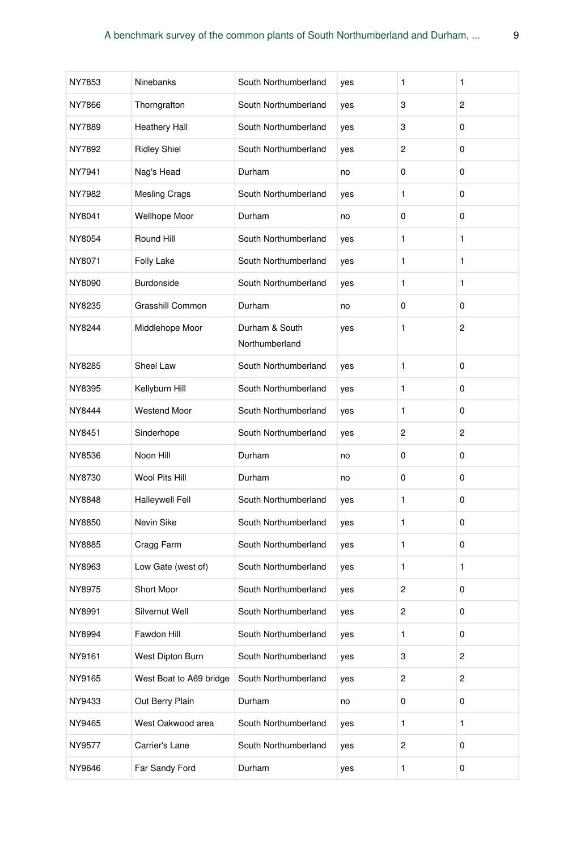| NY7853 | Ninebanks               | South Northumberland             | yes | 1            | 1              |
|--------|-------------------------|----------------------------------|-----|--------------|----------------|
| NY7866 | Thorngrafton            | South Northumberland             | yes | 3            | 2              |
| NY7889 | <b>Heathery Hall</b>    | South Northumberland             | yes | 3            | 0              |
| NY7892 | <b>Ridley Shiel</b>     | South Northumberland             | yes | 2            | 0              |
| NY7941 | Nag's Head              | Durham                           | no  | 0            | 0              |
| NY7982 | <b>Mesling Crags</b>    | South Northumberland             | yes | 1            | 0              |
| NY8041 | Wellhope Moor           | Durham                           | no  | 0            | 0              |
| NY8054 | Round Hill              | South Northumberland             | yes | 1            | 1              |
| NY8071 | Folly Lake              | South Northumberland             | yes | 1            | 1              |
| NY8090 | Burdonside              | South Northumberland             | yes | 1            | 1              |
| NY8235 | Grasshill Common        | Durham                           | no  | 0            | 0              |
| NY8244 | Middlehope Moor         | Durham & South<br>Northumberland | yes | 1            | 2              |
| NY8285 | Sheel Law               | South Northumberland             | yes | $\mathbf{1}$ | 0              |
| NY8395 | Kellyburn Hill          | South Northumberland             | yes | 1            | 0              |
| NY8444 | <b>Westend Moor</b>     | South Northumberland             | yes | $\mathbf{1}$ | 0              |
| NY8451 | Sinderhope              | South Northumberland             | yes | 2            | 2              |
| NY8536 | Noon Hill               | Durham                           | no  | 0            | 0              |
| NY8730 | Wool Pits Hill          | Durham                           | no  | 0            | 0              |
| NY8848 | <b>Halleywell Fell</b>  | South Northumberland             | yes | 1            | 0              |
| NY8850 | Nevin Sike              | South Northumberland             | yes | 1            | 0              |
| NY8885 | Cragg Farm              | South Northumberland             | yes | 1            | 0              |
| NY8963 | Low Gate (west of)      | South Northumberland             | yes | 1            | 1              |
| NY8975 | Short Moor              | South Northumberland             | yes | 2            | 0              |
| NY8991 | Silvernut Well          | South Northumberland             | yes | 2            | 0              |
| NY8994 | Fawdon Hill             | South Northumberland             | yes | 1            | 0              |
| NY9161 | West Dipton Burn        | South Northumberland             | yes | 3            | $\overline{c}$ |
| NY9165 | West Boat to A69 bridge | South Northumberland             | yes | 2            | $\overline{c}$ |
| NY9433 | Out Berry Plain         | Durham                           | no  | 0            | 0              |
| NY9465 | West Oakwood area       | South Northumberland             | yes | 1            | 1              |
| NY9577 | Carrier's Lane          | South Northumberland             | yes | 2            | 0              |
| NY9646 | Far Sandy Ford          | Durham                           | yes | 1            | 0              |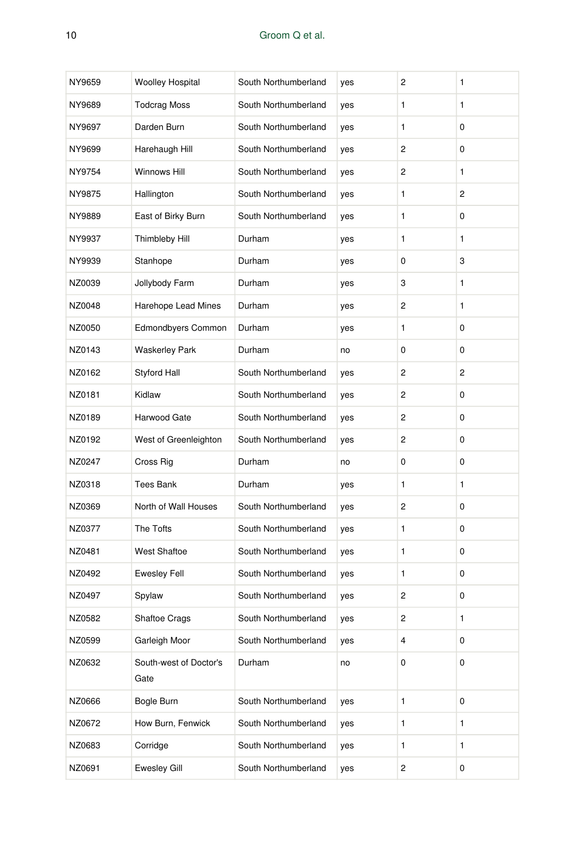#### 10 Groom Q et al.

| NY9659 | <b>Woolley Hospital</b>        | South Northumberland | yes | 2 | 1            |
|--------|--------------------------------|----------------------|-----|---|--------------|
| NY9689 | <b>Todcrag Moss</b>            | South Northumberland | yes | 1 | 1            |
| NY9697 | Darden Burn                    | South Northumberland | yes | 1 | 0            |
| NY9699 | Harehaugh Hill                 | South Northumberland | yes | 2 | 0            |
| NY9754 | Winnows Hill                   | South Northumberland | yes | 2 | $\mathbf{1}$ |
| NY9875 | Hallington                     | South Northumberland | yes | 1 | 2            |
| NY9889 | East of Birky Burn             | South Northumberland | yes | 1 | 0            |
| NY9937 | Thimbleby Hill                 | Durham               | yes | 1 | 1            |
| NY9939 | Stanhope                       | Durham               | yes | 0 | 3            |
| NZ0039 | Jollybody Farm                 | Durham               | yes | 3 | 1            |
| NZ0048 | Harehope Lead Mines            | Durham               | yes | 2 | 1            |
| NZ0050 | <b>Edmondbyers Common</b>      | Durham               | yes | 1 | 0            |
| NZ0143 | <b>Waskerley Park</b>          | Durham               | no  | 0 | 0            |
| NZ0162 | <b>Styford Hall</b>            | South Northumberland | yes | 2 | 2            |
| NZ0181 | Kidlaw                         | South Northumberland | yes | 2 | 0            |
| NZ0189 | Harwood Gate                   | South Northumberland | yes | 2 | 0            |
| NZ0192 | West of Greenleighton          | South Northumberland | yes | 2 | 0            |
| NZ0247 | Cross Rig                      | Durham               | no  | 0 | 0            |
| NZ0318 | Tees Bank                      | Durham               | yes | 1 | 1            |
| NZ0369 | North of Wall Houses           | South Northumberland | yes | 2 | 0            |
| NZ0377 | The Tofts                      | South Northumberland | yes | 1 | 0            |
| NZ0481 | West Shaftoe                   | South Northumberland | yes | 1 | 0            |
| NZ0492 | <b>Ewesley Fell</b>            | South Northumberland | yes | 1 | 0            |
| NZ0497 | Spylaw                         | South Northumberland | yes | 2 | 0            |
| NZ0582 | Shaftoe Crags                  | South Northumberland | yes | 2 | 1            |
| NZ0599 | Garleigh Moor                  | South Northumberland | yes | 4 | 0            |
| NZ0632 | South-west of Doctor's<br>Gate | Durham               | no  | 0 | 0            |
| NZ0666 | Bogle Burn                     | South Northumberland | yes | 1 | 0            |
| NZ0672 | How Burn, Fenwick              | South Northumberland | yes | 1 | $\mathbf{1}$ |
| NZ0683 | Corridge                       | South Northumberland | yes | 1 | 1            |
| NZ0691 | <b>Ewesley Gill</b>            | South Northumberland | yes | 2 | 0            |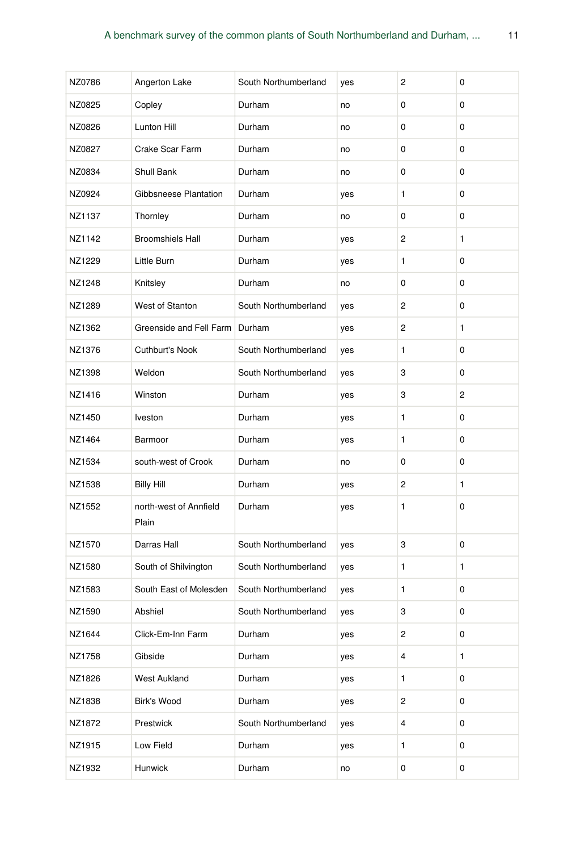| NZ0786 | Angerton Lake                   | South Northumberland | yes | 2                       | 0 |
|--------|---------------------------------|----------------------|-----|-------------------------|---|
| NZ0825 | Copley                          | Durham               | no  | 0                       | 0 |
| NZ0826 | Lunton Hill                     | Durham               | no  | 0                       | 0 |
| NZ0827 | Crake Scar Farm                 | Durham               | no  | 0                       | 0 |
| NZ0834 | Shull Bank                      | Durham               | no  | 0                       | 0 |
| NZ0924 | Gibbsneese Plantation           | Durham               | yes | 1                       | 0 |
| NZ1137 | Thornley                        | Durham               | no  | 0                       | 0 |
| NZ1142 | <b>Broomshiels Hall</b>         | Durham               | yes | $\overline{c}$          | 1 |
| NZ1229 | Little Burn                     | Durham               | yes | 1                       | 0 |
| NZ1248 | Knitsley                        | Durham               | no  | 0                       | 0 |
| NZ1289 | West of Stanton                 | South Northumberland | yes | $\overline{c}$          | 0 |
| NZ1362 | Greenside and Fell Farm         | Durham               | yes | $\overline{c}$          | 1 |
| NZ1376 | Cuthburt's Nook                 | South Northumberland | yes | 1                       | 0 |
| NZ1398 | Weldon                          | South Northumberland | yes | 3                       | 0 |
| NZ1416 | Winston                         | Durham               | yes | 3                       | 2 |
| NZ1450 | <b>Iveston</b>                  | Durham               | yes | 1                       | 0 |
| NZ1464 | Barmoor                         | Durham               | yes | 1                       | 0 |
| NZ1534 | south-west of Crook             | Durham               | no  | 0                       | 0 |
| NZ1538 | <b>Billy Hill</b>               | Durham               | yes | $\overline{c}$          | 1 |
| NZ1552 | north-west of Annfield<br>Plain | Durham               | yes | 1                       | 0 |
| NZ1570 | Darras Hall                     | South Northumberland | yes | 3                       | 0 |
| NZ1580 | South of Shilvington            | South Northumberland | yes | 1                       | 1 |
| NZ1583 | South East of Molesden          | South Northumberland | yes | 1                       | 0 |
| NZ1590 | Abshiel                         | South Northumberland | yes | 3                       | 0 |
| NZ1644 | Click-Em-Inn Farm               | Durham               | yes | $\overline{\mathbf{c}}$ | 0 |
| NZ1758 | Gibside                         | Durham               | yes | $\overline{4}$          | 1 |
| NZ1826 | West Aukland                    | Durham               | yes | 1                       | 0 |
| NZ1838 | Birk's Wood                     | Durham               | yes | $\overline{c}$          | 0 |
| NZ1872 | Prestwick                       | South Northumberland | yes | 4                       | 0 |
| NZ1915 | Low Field                       | Durham               | yes | 1                       | 0 |
| NZ1932 | Hunwick                         | Durham               | no  | 0                       | 0 |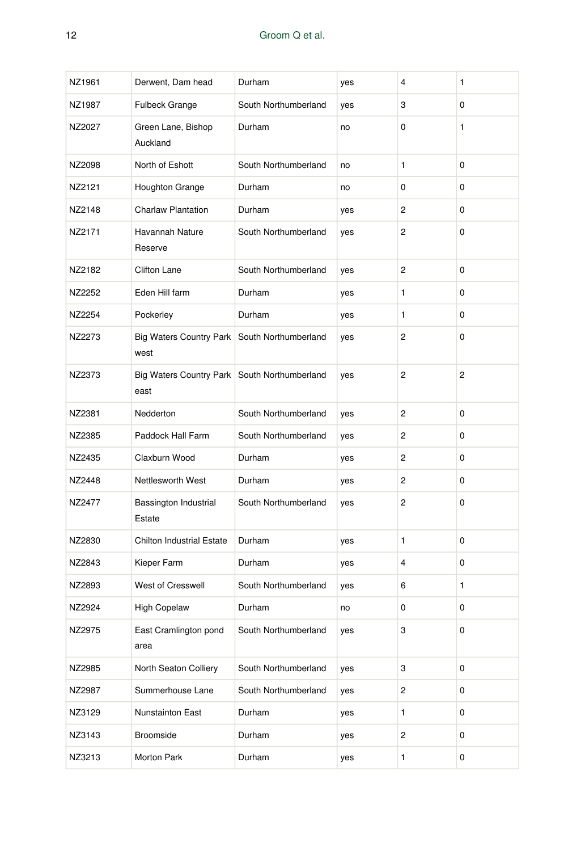| NZ1961 | Derwent, Dam head                                      | Durham               | yes | $\overline{4}$ | 1              |
|--------|--------------------------------------------------------|----------------------|-----|----------------|----------------|
| NZ1987 | Fulbeck Grange                                         | South Northumberland | yes | 3              | 0              |
| NZ2027 | Green Lane, Bishop<br>Auckland                         | Durham               | no  | 0              | $\mathbf{1}$   |
| NZ2098 | North of Eshott                                        | South Northumberland | no  | $\mathbf{1}$   | 0              |
| NZ2121 | Houghton Grange                                        | Durham               | no  | 0              | 0              |
| NZ2148 | <b>Charlaw Plantation</b>                              | Durham               | yes | $\overline{2}$ | 0              |
| NZ2171 | Havannah Nature<br>Reserve                             | South Northumberland | yes | $\overline{2}$ | 0              |
| NZ2182 | <b>Clifton Lane</b>                                    | South Northumberland | yes | $\overline{2}$ | 0              |
| NZ2252 | Eden Hill farm                                         | Durham               | yes | $\mathbf{1}$   | 0              |
| NZ2254 | Pockerley                                              | Durham               | yes | $\mathbf{1}$   | 0              |
| NZ2273 | Big Waters Country Park South Northumberland<br>west   |                      | yes | $\overline{2}$ | 0              |
| NZ2373 | Big Waters Country Park   South Northumberland<br>east |                      | yes | $\overline{2}$ | $\overline{c}$ |
| NZ2381 | Nedderton                                              | South Northumberland | yes | 2              | 0              |
| NZ2385 | Paddock Hall Farm                                      | South Northumberland | yes | 2              | 0              |
| NZ2435 | Claxburn Wood                                          | Durham               | yes | 2              | 0              |
| NZ2448 | Nettlesworth West                                      | Durham               | yes | $\overline{2}$ | 0              |
| NZ2477 | Bassington Industrial<br>Estate                        | South Northumberland | yes | $\overline{2}$ | 0              |
| NZ2830 | <b>Chilton Industrial Estate</b>                       | Durham               | yes | $\mathbf{1}$   | 0              |
| NZ2843 | Kieper Farm                                            | Durham               | yes | 4              | 0              |
| NZ2893 | <b>West of Cresswell</b>                               | South Northumberland | yes | 6              | 1              |
| NZ2924 | <b>High Copelaw</b>                                    | Durham               | no  | 0              | 0              |
| NZ2975 | East Cramlington pond<br>area                          | South Northumberland | yes | 3              | 0              |
| NZ2985 | North Seaton Colliery                                  | South Northumberland | yes | 3              | 0              |
| NZ2987 | Summerhouse Lane                                       | South Northumberland | yes | 2              | 0              |
| NZ3129 | Nunstainton East                                       | Durham               | yes | 1              | 0              |
| NZ3143 | Broomside                                              | Durham               | yes | 2              | 0              |
| NZ3213 | Morton Park                                            | Durham               | yes | $\mathbf{1}$   | 0              |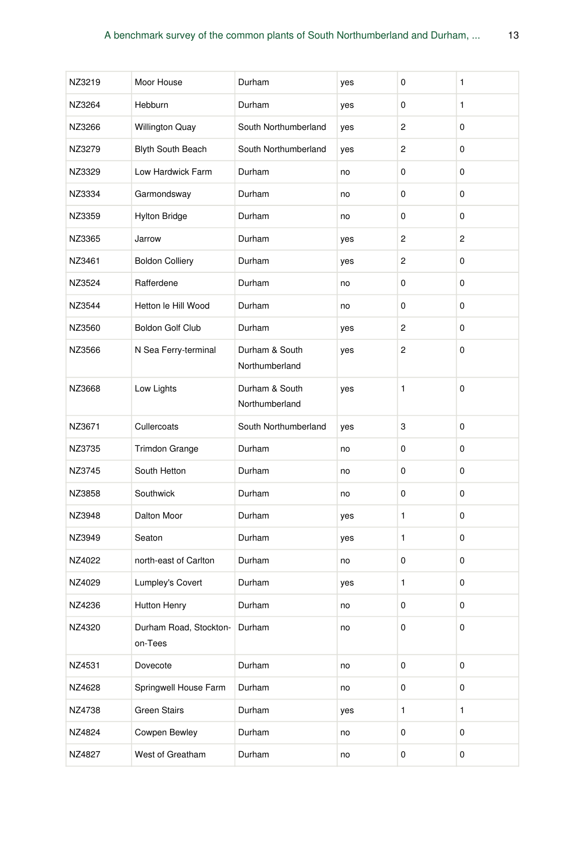| NZ3219 | Moor House                        | Durham                           | yes | 0         | 1            |
|--------|-----------------------------------|----------------------------------|-----|-----------|--------------|
| NZ3264 | Hebburn                           | Durham                           | yes | 0         | $\mathbf{1}$ |
| NZ3266 | <b>Willington Quay</b>            | South Northumberland             | yes | 2         | 0            |
| NZ3279 | Blyth South Beach                 | South Northumberland             | yes | 2         | 0            |
| NZ3329 | Low Hardwick Farm                 | Durham                           | no  | 0         | 0            |
| NZ3334 | Garmondsway                       | Durham                           | no  | 0         | 0            |
| NZ3359 | <b>Hylton Bridge</b>              | Durham                           | no  | 0         | 0            |
| NZ3365 | Jarrow                            | Durham                           | yes | 2         | 2            |
| NZ3461 | <b>Boldon Colliery</b>            | Durham                           | yes | 2         | 0            |
| NZ3524 | Rafferdene                        | Durham                           | no  | 0         | 0            |
| NZ3544 | Hetton le Hill Wood               | Durham                           | no  | 0         | 0            |
| NZ3560 | Boldon Golf Club                  | Durham                           | yes | 2         | 0            |
| NZ3566 | N Sea Ferry-terminal              | Durham & South<br>Northumberland | yes | 2         | 0            |
|        | Low Lights                        | Durham & South                   | yes | 1         | 0            |
| NZ3668 |                                   | Northumberland                   |     |           |              |
| NZ3671 | Cullercoats                       | South Northumberland             | yes | 3         | 0            |
| NZ3735 | <b>Trimdon Grange</b>             | Durham                           | no  | 0         | 0            |
| NZ3745 | South Hetton                      | Durham                           | no  | 0         | 0            |
| NZ3858 | Southwick                         | Durham                           | no  | 0         | 0            |
| NZ3948 | Dalton Moor                       | Durham                           | yes | 1         | 0            |
| NZ3949 | Seaton                            | Durham                           | yes | 1         | 0            |
| NZ4022 | north-east of Carlton             | Durham                           | no  | 0         | 0            |
| NZ4029 | Lumpley's Covert                  | Durham                           | yes | 1         | 0            |
| NZ4236 | Hutton Henry                      | Durham                           | no  | 0         | 0            |
| NZ4320 | Durham Road, Stockton-<br>on-Tees | Durham                           | no  | 0         | 0            |
| NZ4531 | Dovecote                          | Durham                           | no  | $\pmb{0}$ | $\pmb{0}$    |
| NZ4628 | Springwell House Farm             | Durham                           | no  | 0         | $\pmb{0}$    |
| NZ4738 | <b>Green Stairs</b>               | Durham                           | yes | 1         | 1            |
| NZ4824 | Cowpen Bewley                     | Durham                           | no  | 0         | 0            |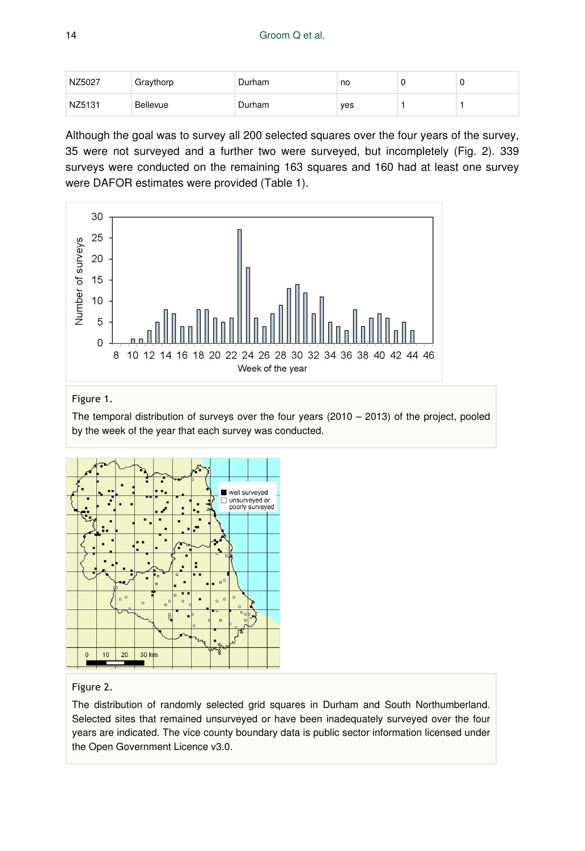| NZ5027 | Graythorp | Durham | no  |  |
|--------|-----------|--------|-----|--|
| NZ5131 | Bellevue  | Durham | yes |  |

Although the goal was to survey all 200 selected squares over the four years of the survey, 35 were not surveyed and a further two were surveyed, but incompletely (Fig. 2). 339 surveys were conducted on the remaining 163 squares and 160 had at least one survey were DAFOR estimates were provided (Table 1).



#### Figure 1.

The temporal distribution of surveys over the four years  $(2010 - 2013)$  of the project, pooled by the week of the year that each survey was conducted.



#### Figure 2.

The distribution of randomly selected grid squares in Durham and South Northumberland. Selected sites that remained unsurveyed or have been inadequately surveyed over the four years are indicated. The vice county boundary data is public sector information licensed under the Open Government Licence v3.0.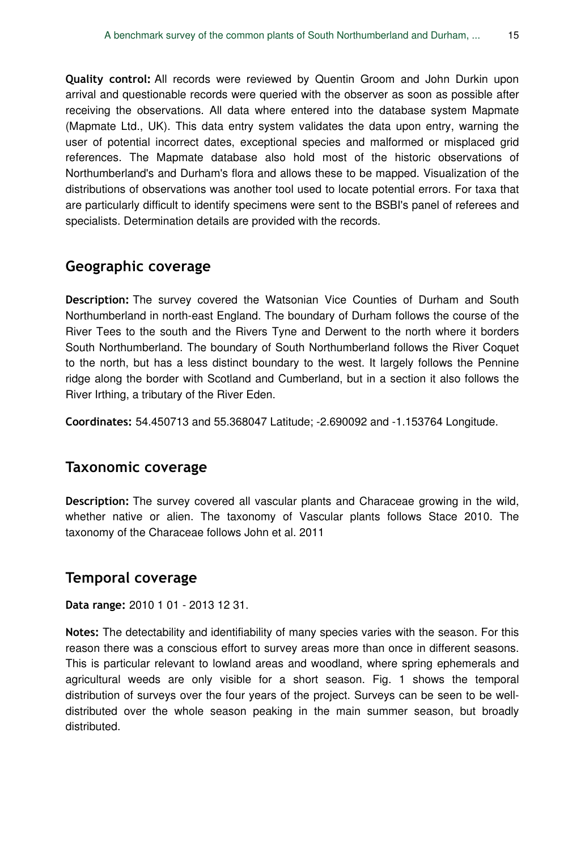**Quality control:** All records were reviewed by Quentin Groom and John Durkin upon arrival and questionable records were queried with the observer as soon as possible after receiving the observations. All data where entered into the database system Mapmate (Mapmate Ltd., UK). This data entry system validates the data upon entry, warning the user of potential incorrect dates, exceptional species and malformed or misplaced grid references. The Mapmate database also hold most of the historic observations of Northumberland's and Durham's flora and allows these to be mapped. Visualization of the distributions of observations was another tool used to locate potential errors. For taxa that are particularly difficult to identify specimens were sent to the BSBI's panel of referees and specialists. Determination details are provided with the records.

### **Geographic coverage**

**Description:** The survey covered the Watsonian Vice Counties of Durham and South Northumberland in north-east England. The boundary of Durham follows the course of the River Tees to the south and the Rivers Tyne and Derwent to the north where it borders South Northumberland. The boundary of South Northumberland follows the River Coquet to the north, but has a less distinct boundary to the west. It largely follows the Pennine ridge along the border with Scotland and Cumberland, but in a section it also follows the River Irthing, a tributary of the River Eden.

**Coordinates:** 54.450713 and 55.368047 Latitude; -2.690092 and -1.153764 Longitude.

### **Taxonomic coverage**

**Description:** The survey covered all vascular plants and Characeae growing in the wild, whether native or alien. The taxonomy of Vascular plants follows Stace 2010. The taxonomy of the Characeae follows John et al. 2011

### **Temporal coverage**

**Data range:** 2010 1 01 - 2013 12 31.

**Notes:** The detectability and identifiability of many species varies with the season. For this reason there was a conscious effort to survey areas more than once in different seasons. This is particular relevant to lowland areas and woodland, where spring ephemerals and agricultural weeds are only visible for a short season. Fig. 1 shows the temporal distribution of surveys over the four years of the project. Surveys can be seen to be welldistributed over the whole season peaking in the main summer season, but broadly distributed.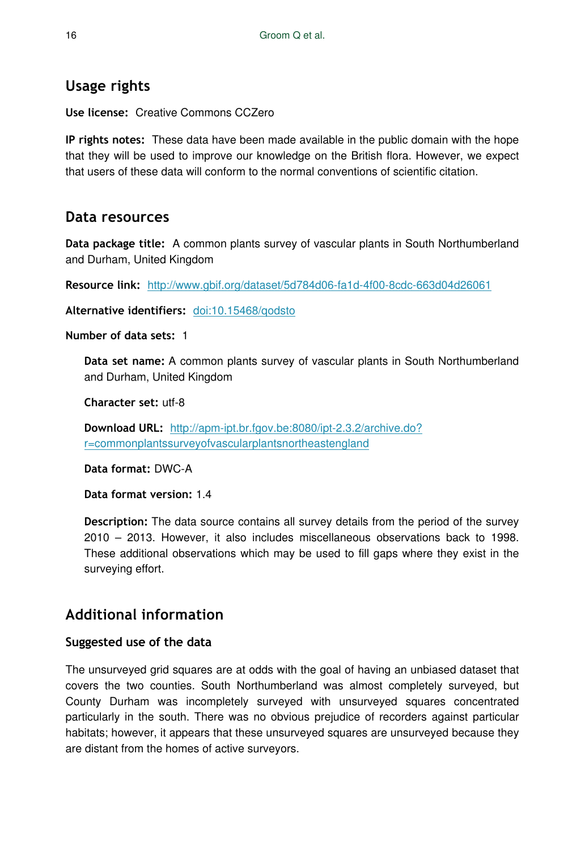# **Usage rights**

**Use license:** Creative Commons CCZero

**IP rights notes:** These data have been made available in the public domain with the hope that they will be used to improve our knowledge on the British flora. However, we expect that users of these data will conform to the normal conventions of scientific citation.

# **Data resources**

**Data package title:** A common plants survey of vascular plants in South Northumberland and Durham, United Kingdom

**Resource link:** <http://www.gbif.org/dataset/5d784d06-fa1d-4f00-8cdc-663d04d26061>

**Alternative identifiers:** [doi:10.15468/qodsto](http://doi.org/10.15468/qodsto)

**Number of data sets:** 1

**Data set name:** A common plants survey of vascular plants in South Northumberland and Durham, United Kingdom

**Character set:** utf-8

**Download URL:** [http://apm-ipt.br.fgov.be:8080/ipt-2.3.2/archive.do?](http://apm-ipt.br.fgov.be:8080/ipt-2.3.2/archive.do?r=commonplantssurveyofvascularplantsnortheastengland) [r=commonplantssurveyofvascularplantsnortheastengland](http://apm-ipt.br.fgov.be:8080/ipt-2.3.2/archive.do?r=commonplantssurveyofvascularplantsnortheastengland)

**Data format:** DWC-A

**Data format version:** 1.4

**Description:** The data source contains all survey details from the period of the survey 2010 – 2013. However, it also includes miscellaneous observations back to 1998. These additional observations which may be used to fill gaps where they exist in the surveying effort.

# **Additional information**

### **Suggested use of the data**

The unsurveyed grid squares are at odds with the goal of having an unbiased dataset that covers the two counties. South Northumberland was almost completely surveyed, but County Durham was incompletely surveyed with unsurveyed squares concentrated particularly in the south. There was no obvious prejudice of recorders against particular habitats; however, it appears that these unsurveyed squares are unsurveyed because they are distant from the homes of active surveyors.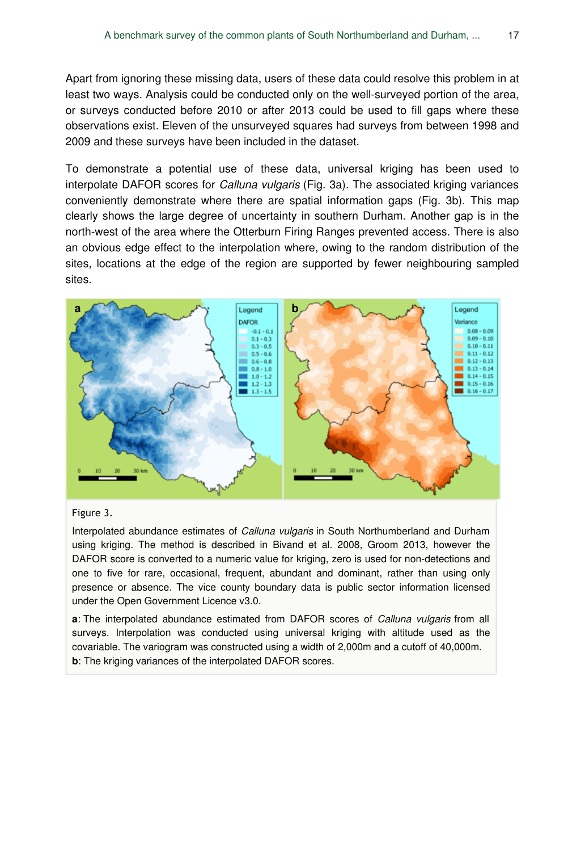Apart from ignoring these missing data, users of these data could resolve this problem in at least two ways. Analysis could be conducted only on the well-surveyed portion of the area, or surveys conducted before 2010 or after 2013 could be used to fill gaps where these observations exist. Eleven of the unsurveyed squares had surveys from between 1998 and 2009 and these surveys have been included in the dataset.

To demonstrate a potential use of these data, universal kriging has been used to interpolate DAFOR scores for *Calluna vulgaris* (Fig. 3a). The associated kriging variances conveniently demonstrate where there are spatial information gaps (Fig. 3b). This map clearly shows the large degree of uncertainty in southern Durham. Another gap is in the north-west of the area where the Otterburn Firing Ranges prevented access. There is also an obvious edge effect to the interpolation where, owing to the random distribution of the sites, locations at the edge of the region are supported by fewer neighbouring sampled sites.



#### Figure 3.

Interpolated abundance estimates of *Calluna vulgaris* in South Northumberland and Durham using kriging. The method is described in Bivand et al. 2008, Groom 2013, however the DAFOR score is converted to a numeric value for kriging, zero is used for non-detections and one to five for rare, occasional, frequent, abundant and dominant, rather than using only presence or absence. The vice county boundary data is public sector information licensed under the Open Government Licence v3.0.

**a**: The interpolated abundance estimated from DAFOR scores of *Calluna vulgaris* from all surveys. Interpolation was conducted using universal kriging with altitude used as the covariable. The variogram was constructed using a width of 2,000m and a cutoff of 40,000m. **b**: The kriging variances of the interpolated DAFOR scores.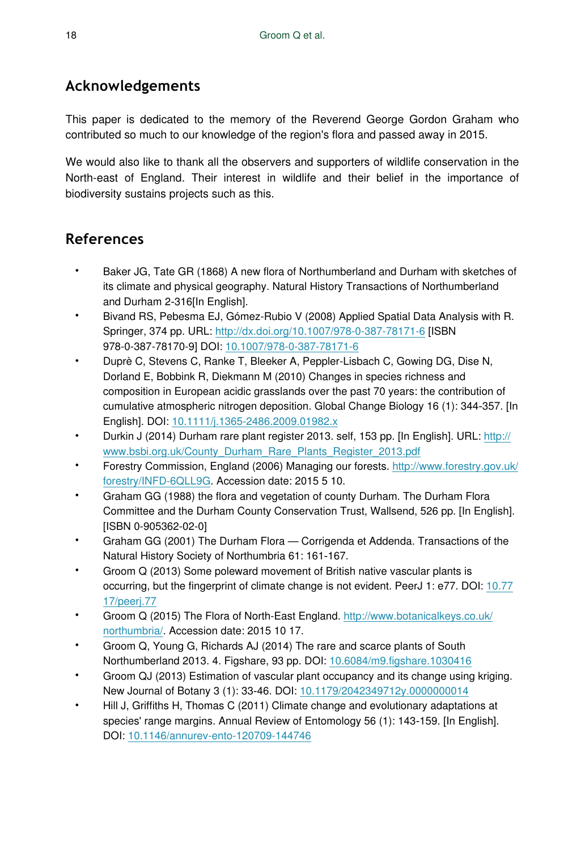# **Acknowledgements**

This paper is dedicated to the memory of the Reverend George Gordon Graham who contributed so much to our knowledge of the region's flora and passed away in 2015.

We would also like to thank all the observers and supporters of wildlife conservation in the North-east of England. Their interest in wildlife and their belief in the importance of biodiversity sustains projects such as this.

# **References**

- Baker JG, Tate GR (1868) A new flora of Northumberland and Durham with sketches of its climate and physical geography. Natural History Transactions of Northumberland and Durham 2‑316[In English].
- Bivand RS, Pebesma EJ, Gómez-Rubio V (2008) Applied Spatial Data Analysis with R. Springer, 374 pp. URL:<http://dx.doi.org/10.1007/978-0-387-78171-6> [ISBN 978-0-387-78170-9] DOI: [10.1007/978-0-387-78171-6](http://dx.doi.org/10.1007/978-0-387-78171-6)
- Duprè C, Stevens C, Ranke T, Bleeker A, Peppler-Lisbach C, Gowing DG, Dise N, Dorland E, Bobbink R, Diekmann M (2010) Changes in species richness and composition in European acidic grasslands over the past 70 years: the contribution of cumulative atmospheric nitrogen deposition. Global Change Biology 16 (1): 344‑357. [In English]. DOI: [10.1111/j.1365-2486.2009.01982.x](http://dx.doi.org/10.1111/j.1365-2486.2009.01982.x)
- Durkin J (2014) Durham rare plant register 2013. self, 153 pp. [In English]. URL: [http://](http://www.bsbi.org.uk/County_Durham_Rare_Plants_Register_2013.pdf) [www.bsbi.org.uk/County\\_Durham\\_Rare\\_Plants\\_Register\\_2013.pdf](http://www.bsbi.org.uk/County_Durham_Rare_Plants_Register_2013.pdf)
- Forestry Commission, England (2006) Managing our forests. [http://www.forestry.gov.uk/](http://www.forestry.gov.uk/forestry/INFD-6QLL9G) [forestry/INFD-6QLL9G](http://www.forestry.gov.uk/forestry/INFD-6QLL9G). Accession date: 2015 5 10.
- Graham GG (1988) the flora and vegetation of county Durham. The Durham Flora Committee and the Durham County Conservation Trust, Wallsend, 526 pp. [In English]. [ISBN 0-905362-02-0]
- Graham GG (2001) The Durham Flora ― Corrigenda et Addenda. Transactions of the Natural History Society of Northumbria 61: 161‑167.
- Groom Q (2013) Some poleward movement of British native vascular plants is occurring, but the fingerprint of climate change is not evident. PeerJ 1: e77. DOI: [10.77](http://dx.doi.org/10.7717/peerj.77) [17/peerj.77](http://dx.doi.org/10.7717/peerj.77)
- Groom Q (2015) The Flora of North-East England. [http://www.botanicalkeys.co.uk/](http://www.botanicalkeys.co.uk/northumbria/) [northumbria/](http://www.botanicalkeys.co.uk/northumbria/). Accession date: 2015 10 17.
- Groom Q, Young G, Richards AJ (2014) The rare and scarce plants of South Northumberland 2013. 4. Figshare, 93 pp. DOI: [10.6084/m9.figshare.1030416](http://dx.doi.org/10.6084/m9.figshare.1030416)
- Groom QJ (2013) Estimation of vascular plant occupancy and its change using kriging. New Journal of Botany 3 (1): 33‑46. DOI: [10.1179/2042349712y.0000000014](http://dx.doi.org/10.1179/2042349712y.0000000014)
- Hill J, Griffiths H, Thomas C (2011) Climate change and evolutionary adaptations at species' range margins. Annual Review of Entomology 56 (1): 143-159. [In English]. DOI: [10.1146/annurev-ento-120709-144746](http://dx.doi.org/10.1146/annurev-ento-120709-144746)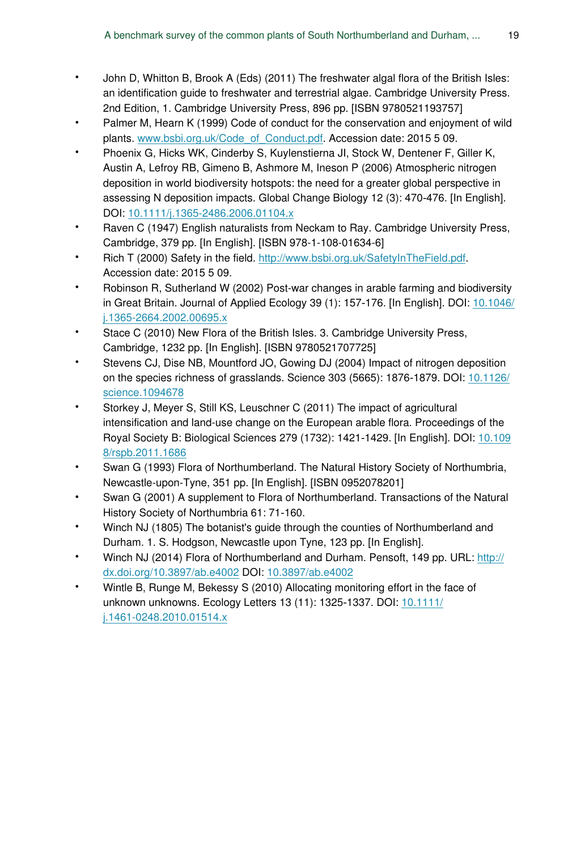- John D, Whitton B, Brook A (Eds) (2011) The freshwater algal flora of the British Isles: an identification guide to freshwater and terrestrial algae. Cambridge University Press. 2nd Edition, 1. Cambridge University Press, 896 pp. [ISBN 9780521193757]
- Palmer M, Hearn K (1999) Code of conduct for the conservation and enjoyment of wild plants. [www.bsbi.org.uk/Code\\_of\\_Conduct.pdf](http://www.bsbi.org.uk/Code_of_Conduct.pdf). Accession date: 2015 5 09.
- Phoenix G, Hicks WK, Cinderby S, Kuylenstierna JI, Stock W, Dentener F, Giller K, Austin A, Lefroy RB, Gimeno B, Ashmore M, Ineson P (2006) Atmospheric nitrogen deposition in world biodiversity hotspots: the need for a greater global perspective in assessing N deposition impacts. Global Change Biology 12 (3): 470‑476. [In English]. DOI: [10.1111/j.1365-2486.2006.01104.x](http://dx.doi.org/10.1111/j.1365-2486.2006.01104.x)
- Raven C (1947) English naturalists from Neckam to Ray. Cambridge University Press, Cambridge, 379 pp. [In English]. [ISBN 978-1-108-01634-6]
- Rich T (2000) Safety in the field.<http://www.bsbi.org.uk/SafetyInTheField.pdf>. Accession date: 2015 5 09.
- Robinson R, Sutherland W (2002) Post-war changes in arable farming and biodiversity in Great Britain. Journal of Applied Ecology 39 (1): 157-176. [In English]. DOI: [10.1046/](http://dx.doi.org/10.1046/j.1365-2664.2002.00695.x) [j.1365-2664.2002.00695.x](http://dx.doi.org/10.1046/j.1365-2664.2002.00695.x)
- Stace C (2010) New Flora of the British Isles. 3. Cambridge University Press, Cambridge, 1232 pp. [In English]. [ISBN 9780521707725]
- Stevens CJ, Dise NB, Mountford JO, Gowing DJ (2004) Impact of nitrogen deposition on the species richness of grasslands. Science 303 (5665): 1876‑1879. DOI: [10.1126/](http://dx.doi.org/10.1126/science.1094678) [science.1094678](http://dx.doi.org/10.1126/science.1094678)
- Storkey J, Meyer S, Still KS, Leuschner C (2011) The impact of agricultural intensification and land-use change on the European arable flora. Proceedings of the Royal Society B: Biological Sciences 279 (1732): 1421‑1429. [In English]. DOI: [10.109](http://dx.doi.org/10.1098/rspb.2011.1686) [8/rspb.2011.1686](http://dx.doi.org/10.1098/rspb.2011.1686)
- Swan G (1993) Flora of Northumberland. The Natural History Society of Northumbria, Newcastle-upon-Tyne, 351 pp. [In English]. [ISBN 0952078201]
- Swan G (2001) A supplement to Flora of Northumberland. Transactions of the Natural History Society of Northumbria 61: 71‑160.
- Winch NJ (1805) The botanist's guide through the counties of Northumberland and Durham. 1. S. Hodgson, Newcastle upon Tyne, 123 pp. [In English].
- Winch NJ (2014) Flora of Northumberland and Durham. Pensoft, 149 pp. URL: [http://](http://dx.doi.org/10.3897/ab.e4002) [dx.doi.org/10.3897/ab.e4002](http://dx.doi.org/10.3897/ab.e4002) DOI: [10.3897/ab.e4002](http://dx.doi.org/10.3897/ab.e4002)
- Wintle B, Runge M, Bekessy S (2010) Allocating monitoring effort in the face of unknown unknowns. Ecology Letters 13 (11): 1325-1337. DOI: [10.1111/](http://dx.doi.org/10.1111/j.1461-0248.2010.01514.x) [j.1461-0248.2010.01514.x](http://dx.doi.org/10.1111/j.1461-0248.2010.01514.x)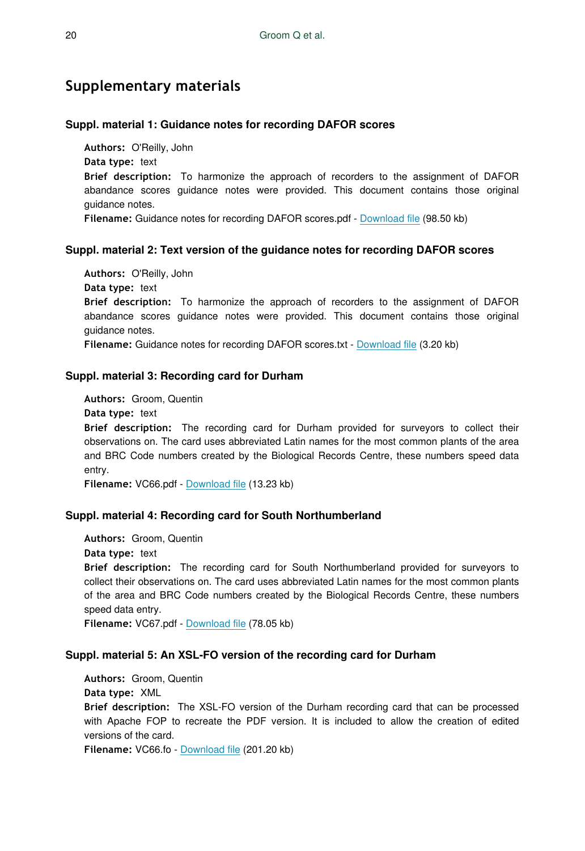# **Supplementary materials**

#### **Suppl. material 1: Guidance notes for recording DAFOR scores**

**Authors:** O'Reilly, John

**Data type:** text

**Brief description:** To harmonize the approach of recorders to the assignment of DAFOR abandance scores guidance notes were provided. This document contains those original guidance notes.

**Filename:** Guidance notes for recording DAFOR scores.pdf - [Download file](http://arpha.pensoft.net//getfile.php?filename=oo_43350.pdf) (98.50 kb)

#### **Suppl. material 2: Text version of the guidance notes for recording DAFOR scores**

**Authors:** O'Reilly, John **Data type:** text **Brief description:** To harmonize the approach of recorders to the assignment of DAFOR abandance scores guidance notes were provided. This document contains those original guidance notes.

**Filename:** Guidance notes for recording DAFOR scores.txt - [Download file](http://arpha.pensoft.net//getfile.php?filename=oo_71136.txt) (3.20 kb)

#### **Suppl. material 3: Recording card for Durham**

**Authors:** Groom, Quentin **Data type:** text **Brief description:** The recording card for Durham provided for surveyors to collect their observations on. The card uses abbreviated Latin names for the most common plants of the area and BRC Code numbers created by the Biological Records Centre, these numbers speed data entry.

**Filename:** VC66.pdf - [Download file](http://arpha.pensoft.net//getfile.php?filename=oo_43352.pdf) (13.23 kb)

#### **Suppl. material 4: Recording card for South Northumberland**

**Authors:** Groom, Quentin **Data type:** text **Brief description:** The recording card for South Northumberland provided for surveyors to collect their observations on. The card uses abbreviated Latin names for the most common plants of the area and BRC Code numbers created by the Biological Records Centre, these numbers speed data entry. **Filename:** VC67.pdf - [Download file](http://arpha.pensoft.net//getfile.php?filename=oo_43353.pdf) (78.05 kb)

#### **Suppl. material 5: An XSL-FO version of the recording card for Durham**

**Authors:** Groom, Quentin **Data type:** XML **Brief description:** The XSL-FO version of the Durham recording card that can be processed with Apache FOP to recreate the PDF version. It is included to allow the creation of edited versions of the card.

**Filename:** VC66.fo - [Download file](http://arpha.pensoft.net//getfile.php?filename=oo_71137.fo) (201.20 kb)